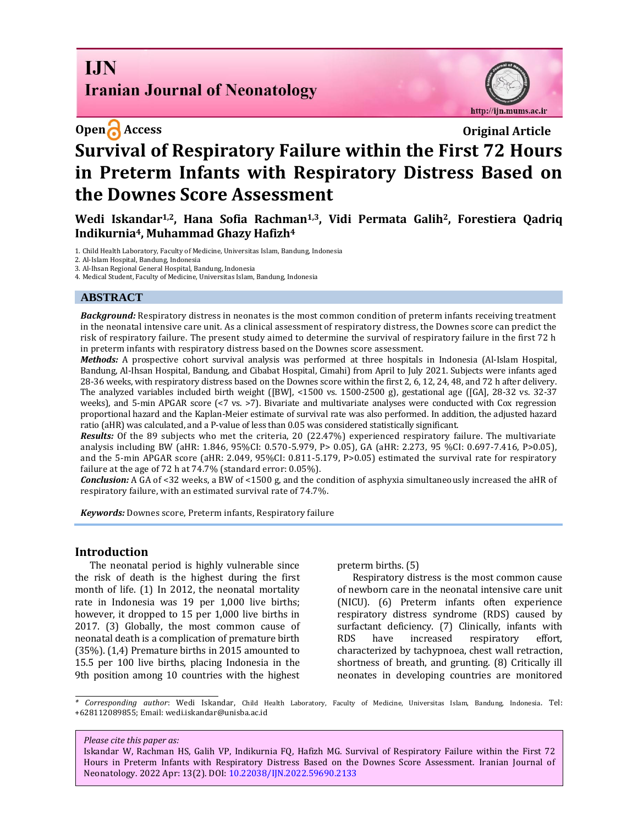# **I.IN Iranian Journal of Neonatology**



# **Open Access Original Article Survival of Respiratory Failure within the First 72 Hours in Preterm Infants with Respiratory Distress Based on the Downes Score Assessment**

**Wedi Iskandar1,2, Hana Sofia Rachman1,3, Vidi Permata Galih2, Forestiera Qadriq Indikurnia4, Muhammad Ghazy Hafizh<sup>4</sup>**

1. Child Health Laboratory, Faculty of Medicine, Universitas Islam, Bandung, Indonesia

2. Al-Islam Hospital, Bandung, Indonesia

3. Al-Ihsan Regional General Hospital, Bandung, Indonesia

4. Medical Student, Faculty of Medicine, Universitas Islam, Bandung, Indonesia

#### **ABSTRACT**

*Background:* Respiratory distress in neonates is the most common condition of preterm infants receiving treatment in the neonatal intensive care unit. As a clinical assessment of respiratory distress, the Downes score can predict the risk of respiratory failure. The present study aimed to determine the survival of respiratory failure in the first 72 h in preterm infants with respiratory distress based on the Downes score assessment.

*Methods:* A prospective cohort survival analysis was performed at three hospitals in Indonesia (Al-Islam Hospital, Bandung, Al-Ihsan Hospital, Bandung, and Cibabat Hospital, Cimahi) from April to July 2021. Subjects were infants aged 28-36 weeks, with respiratory distress based on the Downes score within the first 2, 6, 12, 24, 48, and 72 h after delivery. The analyzed variables included birth weight ([BW], <1500 vs. 1500-2500 g), gestational age ([GA], 28-32 vs. 32-37 weeks), and 5-min APGAR score (<7 vs. >7). Bivariate and multivariate analyses were conducted with Cox regression proportional hazard and the Kaplan-Meier estimate of survival rate was also performed. In addition, the adjusted hazard ratio (aHR) was calculated, and a P-value of less than 0.05 was considered statistically significant.

*Results:* Of the 89 subjects who met the criteria, 20 (22.47%) experienced respiratory failure. The multivariate analysis including BW (aHR: 1.846, 95%CI: 0.570-5.979, P> 0.05), GA (aHR: 2.273, 95 %CI: 0.697-7.416, P>0.05), and the 5-min APGAR score (aHR: 2.049, 95%CI: 0.811-5.179, P>0.05) estimated the survival rate for respiratory failure at the age of 72 h at 74.7% (standard error: 0.05%).

*Conclusion:* A GA of <32 weeks, a BW of <1500 g, and the condition of asphyxia simultaneously increased the aHR of respiratory failure, with an estimated survival rate of 74.7%.

*Keywords:* Downes score, Preterm infants, Respiratory failure

#### **Introduction**

The neonatal period is highly vulnerable since the risk of death is the highest during the first month of life. (1) In 2012, the neonatal mortality rate in Indonesia was 19 per 1,000 live births; however, it dropped to 15 per 1,000 live births in 2017. (3) Globally, the most common cause of neonatal death is a complication of premature birth (35%). (1,4) Premature births in 2015 amounted to 15.5 per 100 live births, placing Indonesia in the 9th position among 10 countries with the highest preterm births. (5)

Respiratory distress is the most common cause of newborn care in the neonatal intensive care unit (NICU). (6) Preterm infants often experience respiratory distress syndrome (RDS) caused by surfactant deficiency. (7) Clinically, infants with RDS have increased respiratory effort, characterized by tachypnoea, chest wall retraction, shortness of breath, and grunting. (8) Critically ill neonates in developing countries are monitored

*\* Corresponding author*: Wedi Iskandar, Child Health Laboratory, Faculty of Medicine, Universitas Islam, Bandung, Indonesia. Tel: +628112089855; Email: wedi.iskandar@unisba.ac.id

#### *Please cite this paper as:*

Iskandar W, Rachman HS, Galih VP, Indikurnia FQ, Hafizh MG. Survival of Respiratory Failure within the First 72 Hours in Preterm Infants with Respiratory Distress Based on the Downes Score Assessment. Iranian Journal of Neonatology. 2022 Apr: 13(2). DOI[: 10.22038/IJN.2022.59690.2133](https://ijn.mums.ac.ir/)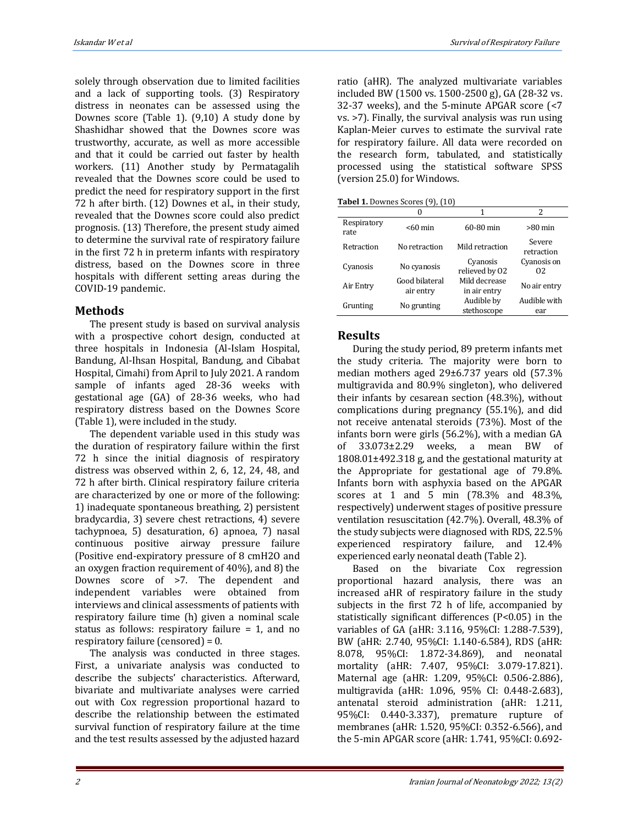solely through observation due to limited facilities and a lack of supporting tools. (3) Respiratory distress in neonates can be assessed using the Downes score (Table 1). (9,10) A study done by Shashidhar showed that the Downes score was trustworthy, accurate, as well as more accessible and that it could be carried out faster by health workers. (11) Another study by Permatagalih revealed that the Downes score could be used to predict the need for respiratory support in the first 72 h after birth. (12) Downes et al., in their study, revealed that the Downes score could also predict prognosis. (13) Therefore, the present study aimed to determine the survival rate of respiratory failure in the first 72 h in preterm infants with respiratory distress, based on the Downes score in three hospitals with different setting areas during the COVID-19 pandemic.

# **Methods**

The present study is based on survival analysis with a prospective cohort design, conducted at three hospitals in Indonesia (Al-Islam Hospital, Bandung, Al-Ihsan Hospital, Bandung, and Cibabat Hospital, Cimahi) from April to July 2021. A random sample of infants aged 28-36 weeks with gestational age (GA) of 28-36 weeks, who had respiratory distress based on the Downes Score (Table 1), were included in the study.

The dependent variable used in this study was the duration of respiratory failure within the first 72 h since the initial diagnosis of respiratory distress was observed within 2, 6, 12, 24, 48, and 72 h after birth. Clinical respiratory failure criteria are characterized by one or more of the following: 1) inadequate spontaneous breathing, 2) persistent bradycardia, 3) severe chest retractions, 4) severe tachypnoea, 5) desaturation, 6) apnoea, 7) nasal continuous positive airway pressure failure (Positive end-expiratory pressure of 8 cmH2O and an oxygen fraction requirement of 40%), and 8) the Downes score of >7. The dependent and independent variables were obtained from interviews and clinical assessments of patients with respiratory failure time (h) given a nominal scale status as follows: respiratory failure = 1, and no respiratory failure (censored) = 0.

The analysis was conducted in three stages. First, a univariate analysis was conducted to describe the subjects' characteristics. Afterward, bivariate and multivariate analyses were carried out with Cox regression proportional hazard to describe the relationship between the estimated survival function of respiratory failure at the time and the test results assessed by the adjusted hazard ratio (aHR). The analyzed multivariate variables included BW (1500 vs. 1500-2500 g), GA (28-32 vs. 32-37 weeks), and the 5-minute APGAR score (<7 vs. >7). Finally, the survival analysis was run using Kaplan-Meier curves to estimate the survival rate for respiratory failure. All data were recorded on the research form, tabulated, and statistically processed using the statistical software SPSS (version 25.0) for Windows.

**Tabel 1.** Downes Scores (9), (10)

|                     | $\cdots$                    |                               |                      |
|---------------------|-----------------------------|-------------------------------|----------------------|
|                     |                             |                               | 2                    |
| Respiratory<br>rate | $< 60$ min                  | 60-80 min                     | $>80$ min            |
| Retraction          | No retraction               | Mild retraction               | Severe<br>retraction |
| Cyanosis            | No cyanosis                 | Cyanosis<br>relieved by 02    | Cyanosis on<br>02    |
| Air Entry           | Good bilateral<br>air entry | Mild decrease<br>in air entry | No air entry         |
| Grunting            | No grunting                 | Audible by<br>stethoscope     | Audible with<br>ear  |

# **Results**

During the study period, 89 preterm infants met the study criteria. The majority were born to median mothers aged 29±6.737 years old (57.3% multigravida and 80.9% singleton), who delivered their infants by cesarean section (48.3%), without complications during pregnancy (55.1%), and did not receive antenatal steroids (73%). Most of the infants born were girls (56.2%), with a median GA of 33.073±2.29 weeks, a mean BW of 1808.01±492.318 g, and the gestational maturity at the Appropriate for gestational age of 79.8%. Infants born with asphyxia based on the APGAR scores at 1 and 5 min (78.3% and 48.3%, respectively) underwent stages of positive pressure ventilation resuscitation (42.7%). Overall, 48.3% of the study subjects were diagnosed with RDS, 22.5% experienced respiratory failure, and 12.4% experienced early neonatal death (Table 2).

Based on the bivariate Cox regression proportional hazard analysis, there was an increased aHR of respiratory failure in the study subjects in the first 72 h of life, accompanied by statistically significant differences (P<0.05) in the variables of GA (aHR: 3.116, 95%CI: 1.288-7.539), BW (aHR: 2.740, 95%CI: 1.140-6.584), RDS (aHR: 8.078, 95%CI: 1.872-34.869), and neonatal mortality (aHR: 7.407, 95%CI: 3.079-17.821). Maternal age (aHR: 1.209, 95%CI: 0.506-2.886), multigravida (aHR: 1.096, 95% CI: 0.448-2.683), antenatal steroid administration (aHR: 1.211, 95%CI: 0.440-3.337), premature rupture of membranes (aHR: 1.520, 95%CI: 0.352-6.566), and the 5-min APGAR score (aHR: 1.741, 95%CI: 0.692-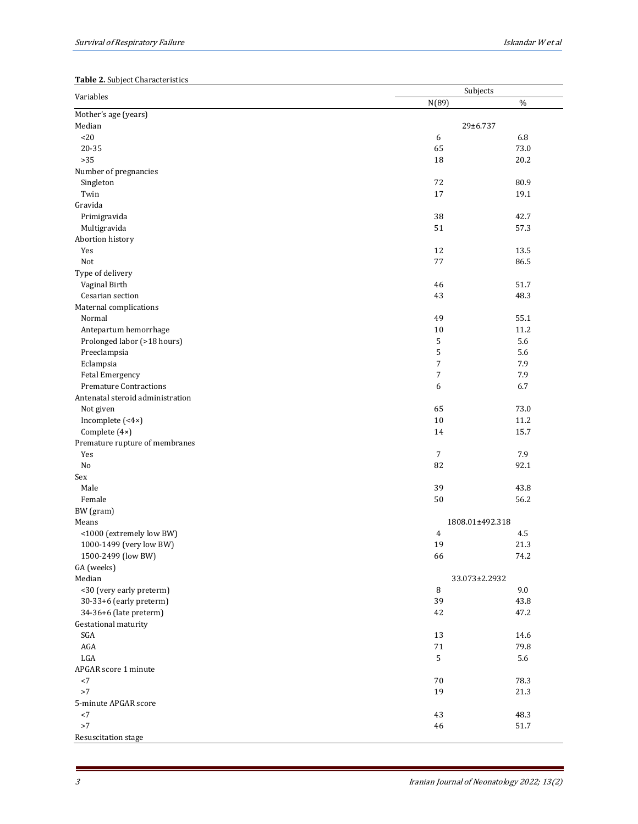### **Table 2.** Subject Characteristics

| N(89)<br>$\%$<br>29±6.737<br><20<br>6<br>6.8<br>20-35<br>65<br>73.0<br>$>35$<br>18<br>20.2<br>Number of pregnancies<br>72<br>80.9<br>Singleton<br>17<br>Twin<br>19.1<br>Gravida<br>38<br>42.7<br>Primigravida<br>Multigravida<br>51<br>57.3<br>Abortion history<br>12<br>13.5<br>Yes<br>77<br>Not<br>86.5<br>Type of delivery<br>Vaginal Birth<br>46<br>51.7<br>43<br>48.3<br>Cesarian section<br>Maternal complications<br>Normal<br>55.1<br>49<br>10<br>11.2<br>Antepartum hemorrhage<br>Prolonged labor (>18 hours)<br>5<br>5.6<br>5<br>Preeclampsia<br>5.6<br>$\boldsymbol{7}$<br>Eclampsia<br>7.9<br>7<br>7.9<br>Fetal Emergency<br><b>Premature Contractions</b><br>6<br>6.7<br>Antenatal steroid administration<br>65<br>73.0<br>Not given<br>10<br>11.2<br>Incomplete (<4×)<br>Complete (4×)<br>14<br>15.7<br>Premature rupture of membranes<br>$\overline{7}$<br>7.9<br>Yes<br>82<br>92.1<br>No<br>Sex<br>Male<br>39<br>43.8<br>50<br>Female<br>56.2<br>BW (gram)<br>Means<br>1808.01±492.318<br><1000 (extremely low BW)<br>4<br>4.5<br>19<br>21.3<br>1000-1499 (very low BW)<br>1500-2499 (low BW)<br>66<br>74.2<br>GA (weeks)<br>Median<br>33.073±2.2932<br>9.0<br><30 (very early preterm)<br>8<br>30-33+6 (early preterm)<br>39<br>43.8<br>34-36+6 (late preterm)<br>47.2<br>42<br>Gestational maturity<br>SGA<br>13<br>14.6<br>$\rm{AGA}$<br>$71\,$<br>79.8<br>$_{\rm LGA}$<br>5<br>5.6<br>APGAR score 1 minute<br>70<br>78.3<br>${<}7$<br>>7<br>19<br>21.3<br>5-minute APGAR score<br>${<}7$<br>43<br>48.3<br>${>}7$<br>46<br>$51.7\,$ |                      | Subjects |  |  |  |
|--------------------------------------------------------------------------------------------------------------------------------------------------------------------------------------------------------------------------------------------------------------------------------------------------------------------------------------------------------------------------------------------------------------------------------------------------------------------------------------------------------------------------------------------------------------------------------------------------------------------------------------------------------------------------------------------------------------------------------------------------------------------------------------------------------------------------------------------------------------------------------------------------------------------------------------------------------------------------------------------------------------------------------------------------------------------------------------------------------------------------------------------------------------------------------------------------------------------------------------------------------------------------------------------------------------------------------------------------------------------------------------------------------------------------------------------------------------------------------------------------------------------------------------------------------|----------------------|----------|--|--|--|
|                                                                                                                                                                                                                                                                                                                                                                                                                                                                                                                                                                                                                                                                                                                                                                                                                                                                                                                                                                                                                                                                                                                                                                                                                                                                                                                                                                                                                                                                                                                                                        | Variables            |          |  |  |  |
|                                                                                                                                                                                                                                                                                                                                                                                                                                                                                                                                                                                                                                                                                                                                                                                                                                                                                                                                                                                                                                                                                                                                                                                                                                                                                                                                                                                                                                                                                                                                                        | Mother's age (years) |          |  |  |  |
|                                                                                                                                                                                                                                                                                                                                                                                                                                                                                                                                                                                                                                                                                                                                                                                                                                                                                                                                                                                                                                                                                                                                                                                                                                                                                                                                                                                                                                                                                                                                                        | Median               |          |  |  |  |
|                                                                                                                                                                                                                                                                                                                                                                                                                                                                                                                                                                                                                                                                                                                                                                                                                                                                                                                                                                                                                                                                                                                                                                                                                                                                                                                                                                                                                                                                                                                                                        |                      |          |  |  |  |
|                                                                                                                                                                                                                                                                                                                                                                                                                                                                                                                                                                                                                                                                                                                                                                                                                                                                                                                                                                                                                                                                                                                                                                                                                                                                                                                                                                                                                                                                                                                                                        |                      |          |  |  |  |
|                                                                                                                                                                                                                                                                                                                                                                                                                                                                                                                                                                                                                                                                                                                                                                                                                                                                                                                                                                                                                                                                                                                                                                                                                                                                                                                                                                                                                                                                                                                                                        |                      |          |  |  |  |
|                                                                                                                                                                                                                                                                                                                                                                                                                                                                                                                                                                                                                                                                                                                                                                                                                                                                                                                                                                                                                                                                                                                                                                                                                                                                                                                                                                                                                                                                                                                                                        |                      |          |  |  |  |
|                                                                                                                                                                                                                                                                                                                                                                                                                                                                                                                                                                                                                                                                                                                                                                                                                                                                                                                                                                                                                                                                                                                                                                                                                                                                                                                                                                                                                                                                                                                                                        |                      |          |  |  |  |
|                                                                                                                                                                                                                                                                                                                                                                                                                                                                                                                                                                                                                                                                                                                                                                                                                                                                                                                                                                                                                                                                                                                                                                                                                                                                                                                                                                                                                                                                                                                                                        |                      |          |  |  |  |
|                                                                                                                                                                                                                                                                                                                                                                                                                                                                                                                                                                                                                                                                                                                                                                                                                                                                                                                                                                                                                                                                                                                                                                                                                                                                                                                                                                                                                                                                                                                                                        |                      |          |  |  |  |
|                                                                                                                                                                                                                                                                                                                                                                                                                                                                                                                                                                                                                                                                                                                                                                                                                                                                                                                                                                                                                                                                                                                                                                                                                                                                                                                                                                                                                                                                                                                                                        |                      |          |  |  |  |
|                                                                                                                                                                                                                                                                                                                                                                                                                                                                                                                                                                                                                                                                                                                                                                                                                                                                                                                                                                                                                                                                                                                                                                                                                                                                                                                                                                                                                                                                                                                                                        |                      |          |  |  |  |
|                                                                                                                                                                                                                                                                                                                                                                                                                                                                                                                                                                                                                                                                                                                                                                                                                                                                                                                                                                                                                                                                                                                                                                                                                                                                                                                                                                                                                                                                                                                                                        |                      |          |  |  |  |
|                                                                                                                                                                                                                                                                                                                                                                                                                                                                                                                                                                                                                                                                                                                                                                                                                                                                                                                                                                                                                                                                                                                                                                                                                                                                                                                                                                                                                                                                                                                                                        |                      |          |  |  |  |
|                                                                                                                                                                                                                                                                                                                                                                                                                                                                                                                                                                                                                                                                                                                                                                                                                                                                                                                                                                                                                                                                                                                                                                                                                                                                                                                                                                                                                                                                                                                                                        |                      |          |  |  |  |
|                                                                                                                                                                                                                                                                                                                                                                                                                                                                                                                                                                                                                                                                                                                                                                                                                                                                                                                                                                                                                                                                                                                                                                                                                                                                                                                                                                                                                                                                                                                                                        |                      |          |  |  |  |
|                                                                                                                                                                                                                                                                                                                                                                                                                                                                                                                                                                                                                                                                                                                                                                                                                                                                                                                                                                                                                                                                                                                                                                                                                                                                                                                                                                                                                                                                                                                                                        |                      |          |  |  |  |
|                                                                                                                                                                                                                                                                                                                                                                                                                                                                                                                                                                                                                                                                                                                                                                                                                                                                                                                                                                                                                                                                                                                                                                                                                                                                                                                                                                                                                                                                                                                                                        |                      |          |  |  |  |
|                                                                                                                                                                                                                                                                                                                                                                                                                                                                                                                                                                                                                                                                                                                                                                                                                                                                                                                                                                                                                                                                                                                                                                                                                                                                                                                                                                                                                                                                                                                                                        |                      |          |  |  |  |
|                                                                                                                                                                                                                                                                                                                                                                                                                                                                                                                                                                                                                                                                                                                                                                                                                                                                                                                                                                                                                                                                                                                                                                                                                                                                                                                                                                                                                                                                                                                                                        |                      |          |  |  |  |
|                                                                                                                                                                                                                                                                                                                                                                                                                                                                                                                                                                                                                                                                                                                                                                                                                                                                                                                                                                                                                                                                                                                                                                                                                                                                                                                                                                                                                                                                                                                                                        |                      |          |  |  |  |
|                                                                                                                                                                                                                                                                                                                                                                                                                                                                                                                                                                                                                                                                                                                                                                                                                                                                                                                                                                                                                                                                                                                                                                                                                                                                                                                                                                                                                                                                                                                                                        |                      |          |  |  |  |
|                                                                                                                                                                                                                                                                                                                                                                                                                                                                                                                                                                                                                                                                                                                                                                                                                                                                                                                                                                                                                                                                                                                                                                                                                                                                                                                                                                                                                                                                                                                                                        |                      |          |  |  |  |
|                                                                                                                                                                                                                                                                                                                                                                                                                                                                                                                                                                                                                                                                                                                                                                                                                                                                                                                                                                                                                                                                                                                                                                                                                                                                                                                                                                                                                                                                                                                                                        |                      |          |  |  |  |
|                                                                                                                                                                                                                                                                                                                                                                                                                                                                                                                                                                                                                                                                                                                                                                                                                                                                                                                                                                                                                                                                                                                                                                                                                                                                                                                                                                                                                                                                                                                                                        |                      |          |  |  |  |
|                                                                                                                                                                                                                                                                                                                                                                                                                                                                                                                                                                                                                                                                                                                                                                                                                                                                                                                                                                                                                                                                                                                                                                                                                                                                                                                                                                                                                                                                                                                                                        |                      |          |  |  |  |
|                                                                                                                                                                                                                                                                                                                                                                                                                                                                                                                                                                                                                                                                                                                                                                                                                                                                                                                                                                                                                                                                                                                                                                                                                                                                                                                                                                                                                                                                                                                                                        |                      |          |  |  |  |
|                                                                                                                                                                                                                                                                                                                                                                                                                                                                                                                                                                                                                                                                                                                                                                                                                                                                                                                                                                                                                                                                                                                                                                                                                                                                                                                                                                                                                                                                                                                                                        |                      |          |  |  |  |
|                                                                                                                                                                                                                                                                                                                                                                                                                                                                                                                                                                                                                                                                                                                                                                                                                                                                                                                                                                                                                                                                                                                                                                                                                                                                                                                                                                                                                                                                                                                                                        |                      |          |  |  |  |
|                                                                                                                                                                                                                                                                                                                                                                                                                                                                                                                                                                                                                                                                                                                                                                                                                                                                                                                                                                                                                                                                                                                                                                                                                                                                                                                                                                                                                                                                                                                                                        |                      |          |  |  |  |
|                                                                                                                                                                                                                                                                                                                                                                                                                                                                                                                                                                                                                                                                                                                                                                                                                                                                                                                                                                                                                                                                                                                                                                                                                                                                                                                                                                                                                                                                                                                                                        |                      |          |  |  |  |
|                                                                                                                                                                                                                                                                                                                                                                                                                                                                                                                                                                                                                                                                                                                                                                                                                                                                                                                                                                                                                                                                                                                                                                                                                                                                                                                                                                                                                                                                                                                                                        |                      |          |  |  |  |
|                                                                                                                                                                                                                                                                                                                                                                                                                                                                                                                                                                                                                                                                                                                                                                                                                                                                                                                                                                                                                                                                                                                                                                                                                                                                                                                                                                                                                                                                                                                                                        |                      |          |  |  |  |
|                                                                                                                                                                                                                                                                                                                                                                                                                                                                                                                                                                                                                                                                                                                                                                                                                                                                                                                                                                                                                                                                                                                                                                                                                                                                                                                                                                                                                                                                                                                                                        |                      |          |  |  |  |
|                                                                                                                                                                                                                                                                                                                                                                                                                                                                                                                                                                                                                                                                                                                                                                                                                                                                                                                                                                                                                                                                                                                                                                                                                                                                                                                                                                                                                                                                                                                                                        |                      |          |  |  |  |
|                                                                                                                                                                                                                                                                                                                                                                                                                                                                                                                                                                                                                                                                                                                                                                                                                                                                                                                                                                                                                                                                                                                                                                                                                                                                                                                                                                                                                                                                                                                                                        |                      |          |  |  |  |
|                                                                                                                                                                                                                                                                                                                                                                                                                                                                                                                                                                                                                                                                                                                                                                                                                                                                                                                                                                                                                                                                                                                                                                                                                                                                                                                                                                                                                                                                                                                                                        |                      |          |  |  |  |
|                                                                                                                                                                                                                                                                                                                                                                                                                                                                                                                                                                                                                                                                                                                                                                                                                                                                                                                                                                                                                                                                                                                                                                                                                                                                                                                                                                                                                                                                                                                                                        |                      |          |  |  |  |
|                                                                                                                                                                                                                                                                                                                                                                                                                                                                                                                                                                                                                                                                                                                                                                                                                                                                                                                                                                                                                                                                                                                                                                                                                                                                                                                                                                                                                                                                                                                                                        |                      |          |  |  |  |
|                                                                                                                                                                                                                                                                                                                                                                                                                                                                                                                                                                                                                                                                                                                                                                                                                                                                                                                                                                                                                                                                                                                                                                                                                                                                                                                                                                                                                                                                                                                                                        |                      |          |  |  |  |
|                                                                                                                                                                                                                                                                                                                                                                                                                                                                                                                                                                                                                                                                                                                                                                                                                                                                                                                                                                                                                                                                                                                                                                                                                                                                                                                                                                                                                                                                                                                                                        |                      |          |  |  |  |
|                                                                                                                                                                                                                                                                                                                                                                                                                                                                                                                                                                                                                                                                                                                                                                                                                                                                                                                                                                                                                                                                                                                                                                                                                                                                                                                                                                                                                                                                                                                                                        |                      |          |  |  |  |
|                                                                                                                                                                                                                                                                                                                                                                                                                                                                                                                                                                                                                                                                                                                                                                                                                                                                                                                                                                                                                                                                                                                                                                                                                                                                                                                                                                                                                                                                                                                                                        |                      |          |  |  |  |
|                                                                                                                                                                                                                                                                                                                                                                                                                                                                                                                                                                                                                                                                                                                                                                                                                                                                                                                                                                                                                                                                                                                                                                                                                                                                                                                                                                                                                                                                                                                                                        |                      |          |  |  |  |
|                                                                                                                                                                                                                                                                                                                                                                                                                                                                                                                                                                                                                                                                                                                                                                                                                                                                                                                                                                                                                                                                                                                                                                                                                                                                                                                                                                                                                                                                                                                                                        |                      |          |  |  |  |
|                                                                                                                                                                                                                                                                                                                                                                                                                                                                                                                                                                                                                                                                                                                                                                                                                                                                                                                                                                                                                                                                                                                                                                                                                                                                                                                                                                                                                                                                                                                                                        |                      |          |  |  |  |
|                                                                                                                                                                                                                                                                                                                                                                                                                                                                                                                                                                                                                                                                                                                                                                                                                                                                                                                                                                                                                                                                                                                                                                                                                                                                                                                                                                                                                                                                                                                                                        |                      |          |  |  |  |
|                                                                                                                                                                                                                                                                                                                                                                                                                                                                                                                                                                                                                                                                                                                                                                                                                                                                                                                                                                                                                                                                                                                                                                                                                                                                                                                                                                                                                                                                                                                                                        |                      |          |  |  |  |
|                                                                                                                                                                                                                                                                                                                                                                                                                                                                                                                                                                                                                                                                                                                                                                                                                                                                                                                                                                                                                                                                                                                                                                                                                                                                                                                                                                                                                                                                                                                                                        |                      |          |  |  |  |
|                                                                                                                                                                                                                                                                                                                                                                                                                                                                                                                                                                                                                                                                                                                                                                                                                                                                                                                                                                                                                                                                                                                                                                                                                                                                                                                                                                                                                                                                                                                                                        |                      |          |  |  |  |
|                                                                                                                                                                                                                                                                                                                                                                                                                                                                                                                                                                                                                                                                                                                                                                                                                                                                                                                                                                                                                                                                                                                                                                                                                                                                                                                                                                                                                                                                                                                                                        |                      |          |  |  |  |
|                                                                                                                                                                                                                                                                                                                                                                                                                                                                                                                                                                                                                                                                                                                                                                                                                                                                                                                                                                                                                                                                                                                                                                                                                                                                                                                                                                                                                                                                                                                                                        |                      |          |  |  |  |
|                                                                                                                                                                                                                                                                                                                                                                                                                                                                                                                                                                                                                                                                                                                                                                                                                                                                                                                                                                                                                                                                                                                                                                                                                                                                                                                                                                                                                                                                                                                                                        |                      |          |  |  |  |
|                                                                                                                                                                                                                                                                                                                                                                                                                                                                                                                                                                                                                                                                                                                                                                                                                                                                                                                                                                                                                                                                                                                                                                                                                                                                                                                                                                                                                                                                                                                                                        |                      |          |  |  |  |
|                                                                                                                                                                                                                                                                                                                                                                                                                                                                                                                                                                                                                                                                                                                                                                                                                                                                                                                                                                                                                                                                                                                                                                                                                                                                                                                                                                                                                                                                                                                                                        |                      |          |  |  |  |
|                                                                                                                                                                                                                                                                                                                                                                                                                                                                                                                                                                                                                                                                                                                                                                                                                                                                                                                                                                                                                                                                                                                                                                                                                                                                                                                                                                                                                                                                                                                                                        | Resuscitation stage  |          |  |  |  |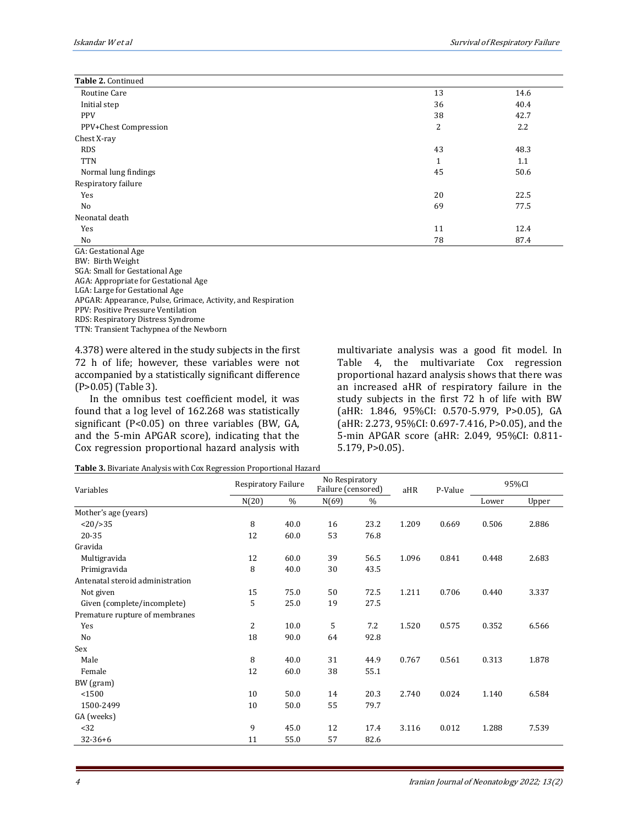| Table 2. Continued                     |                |      |
|----------------------------------------|----------------|------|
| Routine Care                           | 13             | 14.6 |
| Initial step                           | 36             | 40.4 |
| <b>PPV</b>                             | 38             | 42.7 |
| PPV+Chest Compression                  | $\overline{2}$ | 2.2  |
| Chest X-ray                            |                |      |
| <b>RDS</b>                             | 43             | 48.3 |
| <b>TTN</b>                             | 1              | 1.1  |
| Normal lung findings                   | 45             | 50.6 |
| Respiratory failure                    |                |      |
| Yes                                    | 20             | 22.5 |
| No                                     | 69             | 77.5 |
| Neonatal death                         |                |      |
| Yes                                    | 11             | 12.4 |
| No                                     | 78             | 87.4 |
| $C \Lambda$ , Costational $\Lambda$ go |                |      |

GA: Gestational Age BW: Birth Weight SGA: Small for Gestational Age AGA: Appropriate for Gestational Age LGA: Large for Gestational Age APGAR: Appearance, Pulse, Grimace, Activity, and Respiration PPV: Positive Pressure Ventilation RDS: Respiratory Distress Syndrome TTN: Transient Tachypnea of the Newborn

4.378) were altered in the study subjects in the first 72 h of life; however, these variables were not accompanied by a statistically significant difference (P>0.05) (Table 3).

In the omnibus test coefficient model, it was found that a log level of 162.268 was statistically significant (P<0.05) on three variables (BW, GA, and the 5-min APGAR score), indicating that the Cox regression proportional hazard analysis with multivariate analysis was a good fit model. In Table 4, the multivariate Cox regression proportional hazard analysis shows that there was an increased aHR of respiratory failure in the study subjects in the first 72 h of life with BW (aHR: 1.846, 95%CI: 0.570-5.979, P>0.05), GA (aHR: 2.273, 95%CI: 0.697-7.416, P>0.05), and the 5-min APGAR score (aHR: 2.049, 95%CI: 0.811- 5.179, P>0.05).

|  |  | Table 3. Bivariate Analysis with Cox Regression Proportional Hazard |  |
|--|--|---------------------------------------------------------------------|--|
|  |  |                                                                     |  |

| Variables                        | Respiratory Failure |      | No Respiratory<br>Failure (censored) |      | aHR   | P-Value | 95%CI |       |
|----------------------------------|---------------------|------|--------------------------------------|------|-------|---------|-------|-------|
|                                  | N(20)               | $\%$ | N(69)                                | $\%$ |       |         | Lower | Upper |
| Mother's age (years)             |                     |      |                                      |      |       |         |       |       |
| <20/>35                          | 8                   | 40.0 | 16                                   | 23.2 | 1.209 | 0.669   | 0.506 | 2.886 |
| 20-35                            | 12                  | 60.0 | 53                                   | 76.8 |       |         |       |       |
| Gravida                          |                     |      |                                      |      |       |         |       |       |
| Multigravida                     | 12                  | 60.0 | 39                                   | 56.5 | 1.096 | 0.841   | 0.448 | 2.683 |
| Primigravida                     | 8                   | 40.0 | 30                                   | 43.5 |       |         |       |       |
| Antenatal steroid administration |                     |      |                                      |      |       |         |       |       |
| Not given                        | 15                  | 75.0 | 50                                   | 72.5 | 1.211 | 0.706   | 0.440 | 3.337 |
| Given (complete/incomplete)      | 5                   | 25.0 | 19                                   | 27.5 |       |         |       |       |
| Premature rupture of membranes   |                     |      |                                      |      |       |         |       |       |
| Yes                              | 2                   | 10.0 | 5                                    | 7.2  | 1.520 | 0.575   | 0.352 | 6.566 |
| No                               | 18                  | 90.0 | 64                                   | 92.8 |       |         |       |       |
| Sex                              |                     |      |                                      |      |       |         |       |       |
| Male                             | 8                   | 40.0 | 31                                   | 44.9 | 0.767 | 0.561   | 0.313 | 1.878 |
| Female                           | 12                  | 60.0 | 38                                   | 55.1 |       |         |       |       |
| BW (gram)                        |                     |      |                                      |      |       |         |       |       |
| < 1500                           | 10                  | 50.0 | 14                                   | 20.3 | 2.740 | 0.024   | 1.140 | 6.584 |
| 1500-2499                        | 10                  | 50.0 | 55                                   | 79.7 |       |         |       |       |
| GA (weeks)                       |                     |      |                                      |      |       |         |       |       |
| <32                              | 9                   | 45.0 | 12                                   | 17.4 | 3.116 | 0.012   | 1.288 | 7.539 |
| $32 - 36 + 6$                    | 11                  | 55.0 | 57                                   | 82.6 |       |         |       |       |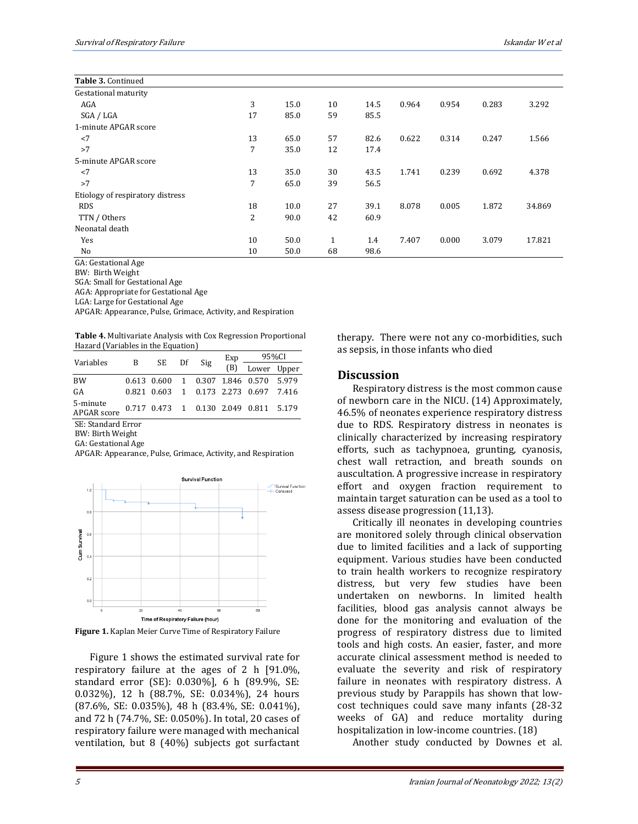| Table 3. Continued               |    |      |              |      |       |       |       |        |
|----------------------------------|----|------|--------------|------|-------|-------|-------|--------|
| Gestational maturity             |    |      |              |      |       |       |       |        |
| AGA                              | 3  | 15.0 | 10           | 14.5 | 0.964 | 0.954 | 0.283 | 3.292  |
| SGA / LGA                        | 17 | 85.0 | 59           | 85.5 |       |       |       |        |
| 1-minute APGAR score             |    |      |              |      |       |       |       |        |
| $<$ 7                            | 13 | 65.0 | 57           | 82.6 | 0.622 | 0.314 | 0.247 | 1.566  |
| >7                               | 7  | 35.0 | 12           | 17.4 |       |       |       |        |
| 5-minute APGAR score             |    |      |              |      |       |       |       |        |
| $<$ 7                            | 13 | 35.0 | 30           | 43.5 | 1.741 | 0.239 | 0.692 | 4.378  |
| >7                               | 7  | 65.0 | 39           | 56.5 |       |       |       |        |
| Etiology of respiratory distress |    |      |              |      |       |       |       |        |
| <b>RDS</b>                       | 18 | 10.0 | 27           | 39.1 | 8.078 | 0.005 | 1.872 | 34.869 |
| TTN / Others                     | 2  | 90.0 | 42           | 60.9 |       |       |       |        |
| Neonatal death                   |    |      |              |      |       |       |       |        |
| Yes                              | 10 | 50.0 | $\mathbf{1}$ | 1.4  | 7.407 | 0.000 | 3.079 | 17.821 |
| No                               | 10 | 50.0 | 68           | 98.6 |       |       |       |        |

GA: Gestational Age

BW: Birth Weight

SGA: Small for Gestational Age

AGA: Appropriate for Gestational Age

LGA: Large for Gestational Age

APGAR: Appearance, Pulse, Grimace, Activity, and Respiration

| <b>Table 4.</b> Multivariate Analysis with Cox Regression Proportional |  |  |
|------------------------------------------------------------------------|--|--|
| Hazard (Variables in the Equation)                                     |  |  |

| Variables                      | $\mathbf{B}$ | SE Df Sig |  | Exp | 95%CI                                 |  |
|--------------------------------|--------------|-----------|--|-----|---------------------------------------|--|
|                                |              |           |  |     | (B) Lower Upper                       |  |
| <b>BW</b>                      |              |           |  |     | 0.613 0.600 1 0.307 1.846 0.570 5.979 |  |
| GA                             |              |           |  |     | 0.821 0.603 1 0.173 2.273 0.697 7.416 |  |
| 5-minute<br><b>APGAR</b> score |              |           |  |     | 0.717 0.473 1 0.130 2.049 0.811 5.179 |  |

SE: Standard Error

BW: Birth Weight

GA: Gestational Age

APGAR: Appearance, Pulse, Grimace, Activity, and Respiration





Figure 1 shows the estimated survival rate for respiratory failure at the ages of 2 h [91.0%, standard error (SE): 0.030%], 6 h (89.9%, SE: 0.032%), 12 h (88.7%, SE: 0.034%), 24 hours (87.6%, SE: 0.035%), 48 h (83.4%, SE: 0.041%), and 72 h (74.7%, SE: 0.050%). In total, 20 cases of respiratory failure were managed with mechanical ventilation, but 8 (40%) subjects got surfactant therapy. There were not any co-morbidities, such as sepsis, in those infants who died

#### **Discussion**

Respiratory distress is the most common cause of newborn care in the NICU. (14) Approximately, 46.5% of neonates experience respiratory distress due to RDS. Respiratory distress in neonates is clinically characterized by increasing respiratory efforts, such as tachypnoea, grunting, cyanosis, chest wall retraction, and breath sounds on auscultation. A progressive increase in respiratory effort and oxygen fraction requirement to maintain target saturation can be used as a tool to assess disease progression (11,13).

Critically ill neonates in developing countries are monitored solely through clinical observation due to limited facilities and a lack of supporting equipment. Various studies have been conducted to train health workers to recognize respiratory distress, but very few studies have been undertaken on newborns. In limited health facilities, blood gas analysis cannot always be done for the monitoring and evaluation of the progress of respiratory distress due to limited tools and high costs. An easier, faster, and more accurate clinical assessment method is needed to evaluate the severity and risk of respiratory failure in neonates with respiratory distress. A previous study by Parappils has shown that lowcost techniques could save many infants (28-32 weeks of GA) and reduce mortality during hospitalization in low-income countries. (18)

Another study conducted by Downes et al.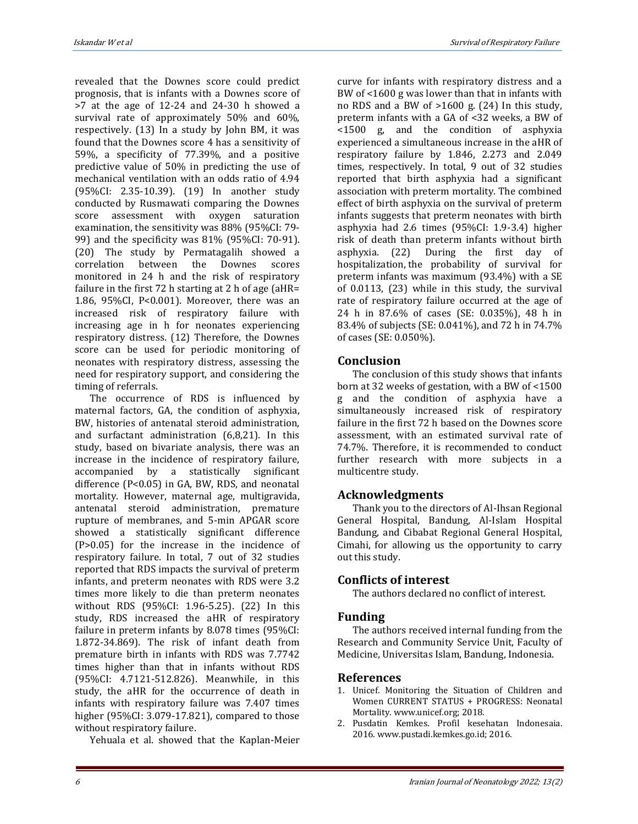Iskandar W et alSurvival of Respiratory Failure

revealed that the Downes score could predict prognosis, that is infants with a Downes score of >7 at the age of 12-24 and 24-30 h showed a survival rate of approximately 50% and 60%, respectively. (13) In a study by John BM, it was found that the Downes score 4 has a sensitivity of 59%, a specificity of 77.39%, and a positive predictive value of 50% in predicting the use of mechanical ventilation with an odds ratio of 4.94 (95%CI: 2.35-10.39). (19) In another study conducted by Rusmawati comparing the Downes score assessment with oxygen saturation examination, the sensitivity was 88% (95%CI: 79- 99) and the specificity was 81% (95%CI: 70-91). (20) The study by Permatagalih showed a correlation between the Downes scores monitored in 24 h and the risk of respiratory failure in the first 72 h starting at 2 h of age (aHR= 1.86, 95%CI, P<0.001). Moreover, there was an increased risk of respiratory failure with increasing age in h for neonates experiencing respiratory distress. (12) Therefore, the Downes score can be used for periodic monitoring of neonates with respiratory distress, assessing the need for respiratory support, and considering the timing of referrals.

The occurrence of RDS is influenced by maternal factors, GA, the condition of asphyxia, BW, histories of antenatal steroid administration, and surfactant administration (6,8,21). In this study, based on bivariate analysis, there was an increase in the incidence of respiratory failure, accompanied by a statistically significant difference (P<0.05) in GA, BW, RDS, and neonatal mortality. However, maternal age, multigravida, antenatal steroid administration, premature rupture of membranes, and 5-min APGAR score showed a statistically significant difference (P>0.05) for the increase in the incidence of respiratory failure. In total, 7 out of 32 studies reported that RDS impacts the survival of preterm infants, and preterm neonates with RDS were 3.2 times more likely to die than preterm neonates without RDS (95%CI: 1.96-5.25). (22) In this study, RDS increased the aHR of respiratory failure in preterm infants by 8.078 times (95%CI: 1.872-34.869). The risk of infant death from premature birth in infants with RDS was 7.7742 times higher than that in infants without RDS (95%CI: 4.7121-512.826). Meanwhile, in this study, the aHR for the occurrence of death in infants with respiratory failure was 7.407 times higher (95%CI: 3.079-17.821), compared to those without respiratory failure.

Yehuala et al. showed that the Kaplan-Meier

curve for infants with respiratory distress and a BW of <1600 g was lower than that in infants with no RDS and a BW of >1600 g. (24) In this study, preterm infants with a GA of <32 weeks, a BW of <1500 g, and the condition of asphyxia experienced a simultaneous increase in the aHR of respiratory failure by 1.846, 2.273 and 2.049 times, respectively. In total, 9 out of 32 studies reported that birth asphyxia had a significant association with preterm mortality. The combined effect of birth asphyxia on the survival of preterm infants suggests that preterm neonates with birth asphyxia had 2.6 times (95%CI: 1.9-3.4) higher risk of death than preterm infants without birth asphyxia. (22) During the first day of hospitalization, the probability of survival for preterm infants was maximum (93.4%) with a SE of 0.0113, (23) while in this study, the survival rate of respiratory failure occurred at the age of 24 h in 87.6% of cases (SE: 0.035%), 48 h in 83.4% of subjects (SE: 0.041%), and 72 h in 74.7% of cases (SE: 0.050%).

## **Conclusion**

The conclusion of this study shows that infants born at 32 weeks of gestation, with a BW of <1500 g and the condition of asphyxia have a simultaneously increased risk of respiratory failure in the first 72 h based on the Downes score assessment, with an estimated survival rate of 74.7%. Therefore, it is recommended to conduct further research with more subjects in a multicentre study.

# **Acknowledgments**

Thank you to the directors of Al-Ihsan Regional General Hospital, Bandung, Al-Islam Hospital Bandung, and Cibabat Regional General Hospital, Cimahi, for allowing us the opportunity to carry out this study.

# **Conflicts of interest**

The authors declared no conflict of interest.

# **Funding**

The authors received internal funding from the Research and Community Service Unit, Faculty of Medicine, Universitas Islam, Bandung, Indonesia.

# **References**

- 1. Unicef. Monitoring the Situation of Children and Women CURRENT STATUS + PROGRESS: Neonatal Mortality. www.unicef.org; 2018.
- 2. Pusdatin Kemkes. Profil kesehatan Indonesaia. 2016. www.pustadi.kemkes.go.id; 2016.